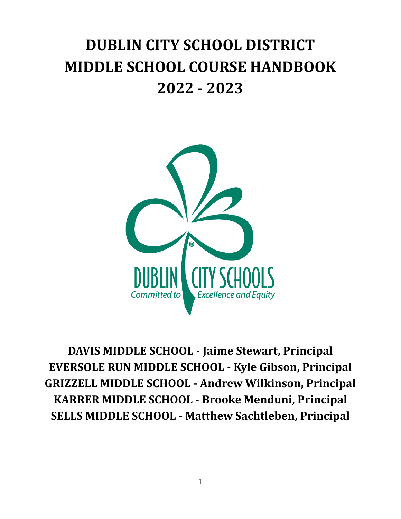# **DUBLIN CITY SCHOOL DISTRICT MIDDLE SCHOOL COURSE HANDBOOK 2022 - 2023**



**DAVIS MIDDLE SCHOOL - Jaime Stewart, Principal EVERSOLE RUN MIDDLE SCHOOL - Kyle Gibson, Principal GRIZZELL MIDDLE SCHOOL - Andrew Wilkinson, Principal KARRER MIDDLE SCHOOL - Brooke Menduni, Principal SELLS MIDDLE SCHOOL - Matthew Sachtleben, Principal**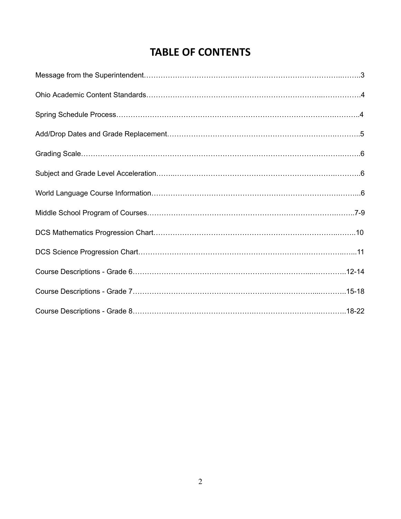## **TABLE OF CONTENTS**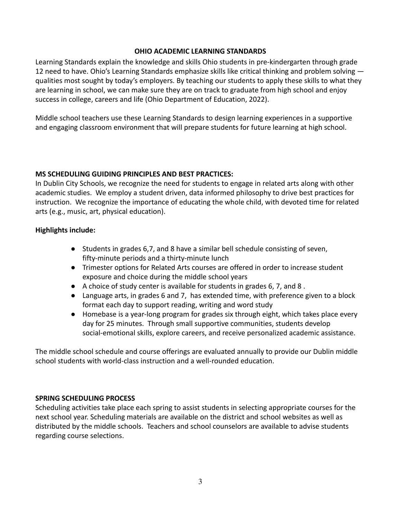#### **OHIO ACADEMIC LEARNING STANDARDS**

Learning Standards explain the knowledge and skills Ohio students in pre-kindergarten through grade 12 need to have. Ohio's Learning Standards emphasize skills like critical thinking and problem solving qualities most sought by today's employers. By teaching our students to apply these skills to what they are learning in school, we can make sure they are on track to graduate from high school and enjoy success in college, careers and life (Ohio Department of Education, 2022).

Middle school teachers use these Learning Standards to design learning experiences in a supportive and engaging classroom environment that will prepare students for future learning at high school.

#### **MS SCHEDULING GUIDING PRINCIPLES AND BEST PRACTICES:**

In Dublin City Schools, we recognize the need for students to engage in related arts along with other academic studies. We employ a student driven, data informed philosophy to drive best practices for instruction. We recognize the importance of educating the whole child, with devoted time for related arts (e.g., music, art, physical education).

#### **Highlights include:**

- Students in grades 6,7, and 8 have a similar bell schedule consisting of seven, fifty-minute periods and a thirty-minute lunch
- Trimester options for Related Arts courses are offered in order to increase student exposure and choice during the middle school years
- $\bullet$  A choice of study center is available for students in grades 6, 7, and 8.
- Language arts, in grades 6 and 7, has extended time, with preference given to a block format each day to support reading, writing and word study
- Homebase is a year-long program for grades six through eight, which takes place every day for 25 minutes. Through small supportive communities, students develop social-emotional skills, explore careers, and receive personalized academic assistance.

The middle school schedule and course offerings are evaluated annually to provide our Dublin middle school students with world-class instruction and a well-rounded education.

#### **SPRING SCHEDULING PROCESS**

Scheduling activities take place each spring to assist students in selecting appropriate courses for the next school year. Scheduling materials are available on the district and school websites as well as distributed by the middle schools. Teachers and school counselors are available to advise students regarding course selections.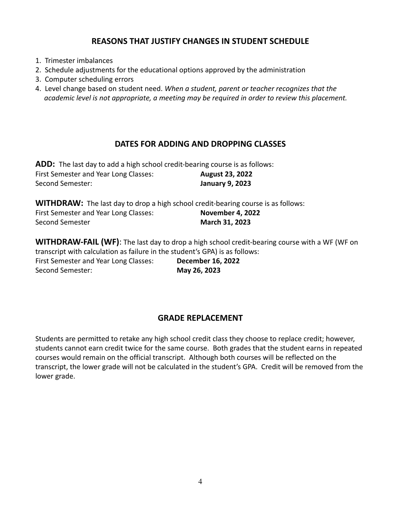#### **REASONS THAT JUSTIFY CHANGES IN STUDENT SCHEDULE**

- 1. Trimester imbalances
- 2. Schedule adjustments for the educational options approved by the administration
- 3. Computer scheduling errors
- 4. Level change based on student need. *When a student, parent or teacher recognizes that the academic level is not appropriate, a meeting may be required in order to review this placement.*

#### **DATES FOR ADDING AND DROPPING CLASSES**

**ADD:** The last day to add a high school credit-bearing course is as follows: First Semester and Year Long Classes: **August 23, 2022** Second Semester: **January 9, 2023**

**WITHDRAW:** The last day to drop a high school credit-bearing course is as follows: First Semester and Year Long Classes: **November 4, 2022** Second Semester **March 31, 2023** 

**WITHDRAW-FAIL (WF)**: The last day to drop a high school credit-bearing course with a WF (WF on transcript with calculation as failure in the student's GPA) is as follows: First Semester and Year Long Classes: **December 16, 2022**

Second Semester: **May 26, 2023**

#### **GRADE REPLACEMENT**

Students are permitted to retake any high school credit class they choose to replace credit; however, students cannot earn credit twice for the same course. Both grades that the student earns in repeated courses would remain on the official transcript. Although both courses will be reflected on the transcript, the lower grade will not be calculated in the student's GPA. Credit will be removed from the lower grade.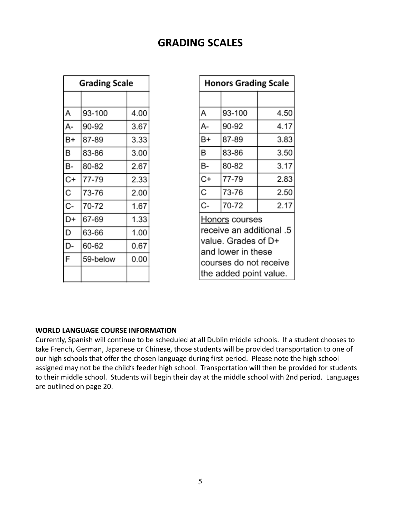## **GRADING SCALES**

| <b>Grading Scale</b> |          |      |
|----------------------|----------|------|
|                      |          |      |
| А                    | 93-100   | 4.00 |
| A-                   | 90-92    | 3.67 |
| B+                   | 87-89    | 3.33 |
| B                    | 83-86    | 3.00 |
| B-                   | 80-82    | 2.67 |
| C+                   | 77-79    | 2.33 |
| C                    | 73-76    | 2.00 |
| C-                   | 70-72    | 1.67 |
| D+                   | 67-69    | 1.33 |
| D                    | 63-66    | 1.00 |
| D-                   | 60-62    | 0.67 |
| F                    | 59-below | 0.00 |
|                      |          |      |

| <b>Honors Grading Scale</b>                                                                                                                 |        |      |  |
|---------------------------------------------------------------------------------------------------------------------------------------------|--------|------|--|
|                                                                                                                                             |        |      |  |
| А                                                                                                                                           | 93-100 | 4.50 |  |
| А-                                                                                                                                          | 90-92  | 4.17 |  |
| B+                                                                                                                                          | 87-89  | 3.83 |  |
| B                                                                                                                                           | 83-86  | 3.50 |  |
| в-                                                                                                                                          | 80-82  | 3.17 |  |
| C+                                                                                                                                          | 77-79  | 2.83 |  |
| $\overline{\rm c}$                                                                                                                          | 73-76  | 2.50 |  |
| C-                                                                                                                                          | 70-72  | 2.17 |  |
| Honors courses<br>receive an additional .5<br>value. Grades of D+<br>and lower in these<br>courses do not receive<br>the added point value. |        |      |  |

#### **WORLD LANGUAGE COURSE INFORMATION**

Currently, Spanish will continue to be scheduled at all Dublin middle schools. If a student chooses to take French, German, Japanese or Chinese, those students will be provided transportation to one of our high schools that offer the chosen language during first period. Please note the high school assigned may not be the child's feeder high school. Transportation will then be provided for students to their middle school. Students will begin their day at the middle school with 2nd period. Languages are outlined on page 20.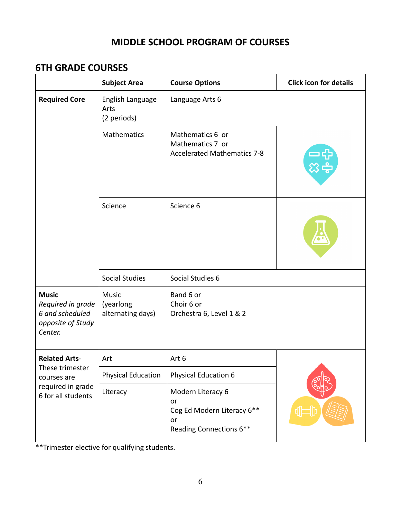## **MIDDLE SCHOOL PROGRAM OF COURSES**

## **6TH GRADE COURSES**

|                                                                                                   | <b>Subject Area</b>                            | <b>Course Options</b>                                                                  | <b>Click icon for details</b> |
|---------------------------------------------------------------------------------------------------|------------------------------------------------|----------------------------------------------------------------------------------------|-------------------------------|
| <b>Required Core</b>                                                                              | English Language<br>Arts<br>(2 periods)        | Language Arts 6                                                                        |                               |
|                                                                                                   | Mathematics                                    | Mathematics 6 or<br>Mathematics 7 or<br><b>Accelerated Mathematics 7-8</b>             |                               |
|                                                                                                   | Science                                        | Science 6                                                                              |                               |
|                                                                                                   | <b>Social Studies</b>                          | Social Studies 6                                                                       |                               |
| <b>Music</b><br>Required in grade<br>6 and scheduled<br>opposite of Study<br>Center.              | <b>Music</b><br>(yearlong<br>alternating days) | Band 6 or<br>Choir 6 or<br>Orchestra 6, Level 1 & 2                                    |                               |
| <b>Related Arts-</b><br>These trimester<br>courses are<br>required in grade<br>6 for all students | Art                                            | Art 6                                                                                  |                               |
|                                                                                                   | <b>Physical Education</b>                      | <b>Physical Education 6</b>                                                            |                               |
|                                                                                                   | Literacy                                       | Modern Literacy 6<br>or<br>Cog Ed Modern Literacy 6**<br>or<br>Reading Connections 6** |                               |

\*\*Trimester elective for qualifying students.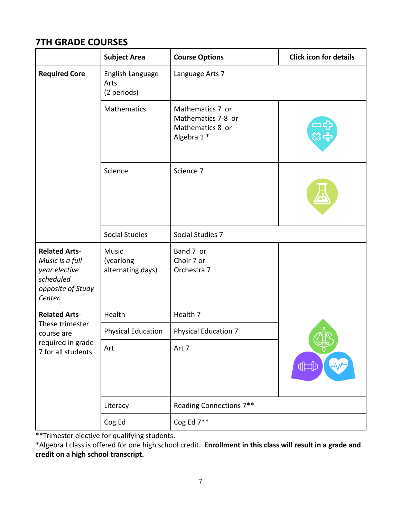## **7TH GRADE COURSES**

|                                                                                                       | <b>Subject Area</b>                            | <b>Course Options</b>                                                     | <b>Click icon for details</b> |
|-------------------------------------------------------------------------------------------------------|------------------------------------------------|---------------------------------------------------------------------------|-------------------------------|
| <b>Required Core</b>                                                                                  | English Language<br>Arts<br>(2 periods)        | Language Arts 7                                                           |                               |
|                                                                                                       | Mathematics                                    | Mathematics 7 or<br>Mathematics 7-8 or<br>Mathematics 8 or<br>Algebra 1 * |                               |
|                                                                                                       | Science                                        | Science 7                                                                 |                               |
|                                                                                                       | <b>Social Studies</b>                          | Social Studies 7                                                          |                               |
| <b>Related Arts-</b><br>Music is a full<br>year elective<br>scheduled<br>opposite of Study<br>Center. | <b>Music</b><br>(yearlong<br>alternating days) | Band 7 or<br>Choir 7 or<br>Orchestra 7                                    |                               |
| <b>Related Arts-</b><br>These trimester<br>course are<br>required in grade<br>7 for all students      | Health                                         | Health 7                                                                  |                               |
|                                                                                                       | <b>Physical Education</b>                      | <b>Physical Education 7</b>                                               | ਪੀ⊟                           |
|                                                                                                       | Art                                            | Art 7                                                                     |                               |
|                                                                                                       | Literacy                                       | Reading Connections 7**                                                   |                               |
|                                                                                                       | Cog Ed                                         | Cog Ed 7**                                                                |                               |

\*\*Trimester elective for qualifying students.

\*Algebra I class is offered for one high school credit. **Enrollment in this class will result in a grade and credit on a high school transcript.**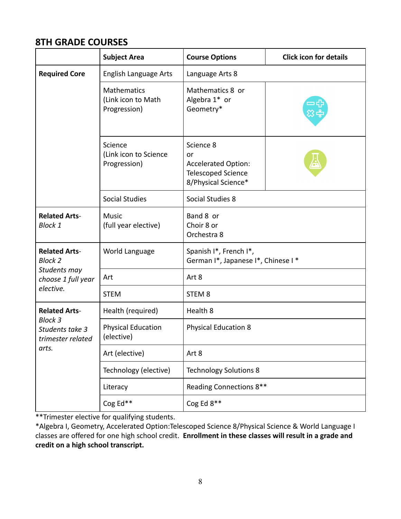## **8TH GRADE COURSES**

|                                                                              | <b>Subject Area</b>                                      | <b>Course Options</b>                                                                             | <b>Click icon for details</b> |
|------------------------------------------------------------------------------|----------------------------------------------------------|---------------------------------------------------------------------------------------------------|-------------------------------|
| <b>Required Core</b>                                                         | <b>English Language Arts</b>                             | Language Arts 8                                                                                   |                               |
|                                                                              | <b>Mathematics</b><br>(Link icon to Math<br>Progression) | Mathematics 8 or<br>Algebra 1* or<br>Geometry*                                                    |                               |
|                                                                              | Science<br>(Link icon to Science<br>Progression)         | Science 8<br>or<br><b>Accelerated Option:</b><br><b>Telescoped Science</b><br>8/Physical Science* |                               |
|                                                                              | <b>Social Studies</b>                                    | Social Studies 8                                                                                  |                               |
| <b>Related Arts-</b><br><b>Block 1</b>                                       | <b>Music</b><br>(full year elective)                     | Band 8 or<br>Choir 8 or<br>Orchestra 8                                                            |                               |
| <b>Related Arts-</b><br><b>Block 2</b><br>Students may<br>choose 1 full year | World Language                                           | Spanish I*, French I*,<br>German I*, Japanese I*, Chinese I*                                      |                               |
|                                                                              | Art                                                      | Art 8                                                                                             |                               |
| elective.                                                                    | <b>STEM</b>                                              | STEM <sub>8</sub>                                                                                 |                               |
| <b>Related Arts-</b>                                                         | Health (required)                                        | Health 8                                                                                          |                               |
| <b>Block 3</b><br>Students take 3<br>trimester related<br>arts.              | <b>Physical Education</b><br>(elective)                  | <b>Physical Education 8</b>                                                                       |                               |
|                                                                              | Art (elective)                                           | Art 8                                                                                             |                               |
|                                                                              | Technology (elective)                                    | <b>Technology Solutions 8</b>                                                                     |                               |
|                                                                              | Literacy                                                 | Reading Connections 8**                                                                           |                               |
|                                                                              | Cog Ed**                                                 | Cog Ed $8**$                                                                                      |                               |

\*\*Trimester elective for qualifying students.

\*Algebra I, Geometry, Accelerated Option:Telescoped Science 8/Physical Science & World Language I classes are offered for one high school credit. **Enrollment in these classes will result in a grade and credit on a high school transcript.**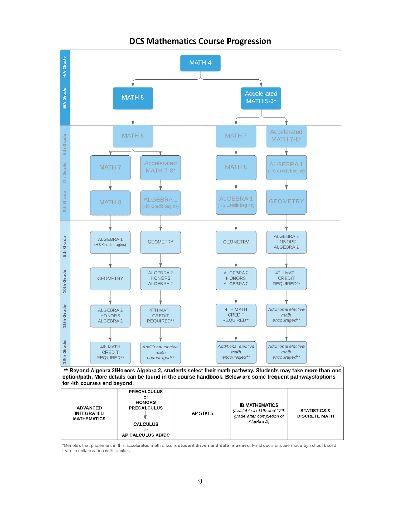

#### **DCS Mathematics Course Progression**

\*Denotes that placement in this accelerated math class is student driven and data informed. Final decisions are made by school based team in collaboration with families.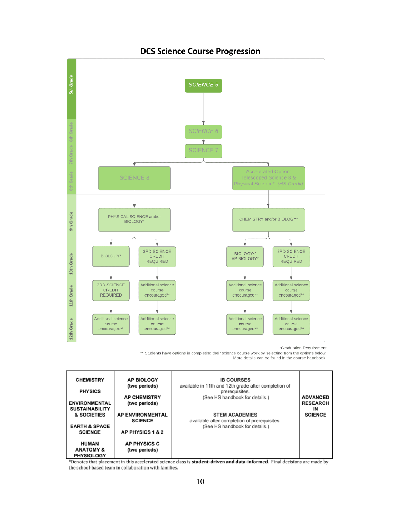

#### **DCS Science Course Progression**

\*Graduation Requirement

\*\* Students have options in completing their science course work by selecting from the options below. More details can be found in the course handbook.

| <b>CHEMISTRY</b>                              | <b>AP BIOLOGY</b><br>(two periods) | <b>IB COURSES</b><br>available in 11th and 12th grade after completion of |                       |
|-----------------------------------------------|------------------------------------|---------------------------------------------------------------------------|-----------------------|
| <b>PHYSICS</b>                                |                                    | prerequisites.                                                            |                       |
|                                               | <b>AP CHEMISTRY</b>                | (See HS handbook for details.)                                            | <b>ADVANCED</b>       |
| <b>ENVIRONMENTAL</b><br><b>SUSTAINABILITY</b> | (two periods)                      |                                                                           | <b>RESEARCH</b><br>IN |
| & SOCIETIES                                   | <b>AP ENVIRONMENTAL</b>            | <b>STEM ACADEMIES</b>                                                     | <b>SCIENCE</b>        |
|                                               | <b>SCIENCE</b>                     | available after completion of prerequisites.                              |                       |
| <b>EARTH &amp; SPACE</b>                      |                                    | (See HS handbook for details.)                                            |                       |
| <b>SCIENCE</b>                                | <b>AP PHYSICS 1 &amp; 2</b>        |                                                                           |                       |
| <b>HUMAN</b>                                  | <b>AP PHYSICS C</b>                |                                                                           |                       |
| <b>ANATOMY &amp;</b>                          | (two periods)                      |                                                                           |                       |
| <b>PHYSIOLOGY</b>                             |                                    |                                                                           |                       |

\*Denotes that placement in this accelerated science class is student-driven and data-informed. Final decisions are made by the school-based team in collaboration with families.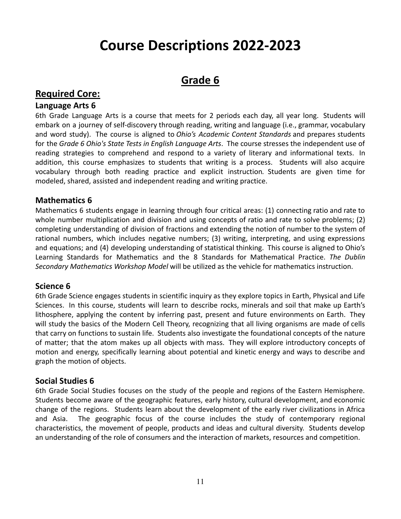## **Course Descriptions 2022-2023**

## **Grade 6**

## **Required Core:**

#### **Language Arts 6**

6th Grade Language Arts is a course that meets for 2 periods each day, all year long. Students will embark on a journey of self-discovery through reading, writing and language (i.e., grammar, vocabulary and word study). The course is aligned to *Ohio's Academic Content Standards* and prepares students for the *Grade 6 Ohio's State Tests in English Language Arts*. The course stresses the independent use of reading strategies to comprehend and respond to a variety of literary and informational texts. In addition, this course emphasizes to students that writing is a process. Students will also acquire vocabulary through both reading practice and explicit instruction*.* Students are given time for modeled, shared, assisted and independent reading and writing practice.

#### **Mathematics 6**

Mathematics 6 students engage in learning through four critical areas: (1) connecting ratio and rate to whole number multiplication and division and using concepts of ratio and rate to solve problems; (2) completing understanding of division of fractions and extending the notion of number to the system of rational numbers, which includes negative numbers; (3) writing, interpreting, and using expressions and equations; and (4) developing understanding of statistical thinking. This course is aligned to Ohio's Learning Standards for Mathematics and the 8 Standards for Mathematical Practice. *The Dublin Secondary Mathematics Workshop Model* will be utilized as the vehicle for mathematics instruction.

#### **Science 6**

6th Grade Science engages students in scientific inquiry as they explore topics in Earth, Physical and Life Sciences. In this course, students will learn to describe rocks, minerals and soil that make up Earth's lithosphere, applying the content by inferring past, present and future environments on Earth. They will study the basics of the Modern Cell Theory, recognizing that all living organisms are made of cells that carry on functions to sustain life. Students also investigate the foundational concepts of the nature of matter; that the atom makes up all objects with mass. They will explore introductory concepts of motion and energy, specifically learning about potential and kinetic energy and ways to describe and graph the motion of objects.

#### **Social Studies 6**

6th Grade Social Studies focuses on the study of the people and regions of the Eastern Hemisphere. Students become aware of the geographic features, early history, cultural development, and economic change of the regions. Students learn about the development of the early river civilizations in Africa and Asia. The geographic focus of the course includes the study of contemporary regional characteristics, the movement of people, products and ideas and cultural diversity. Students develop an understanding of the role of consumers and the interaction of markets, resources and competition.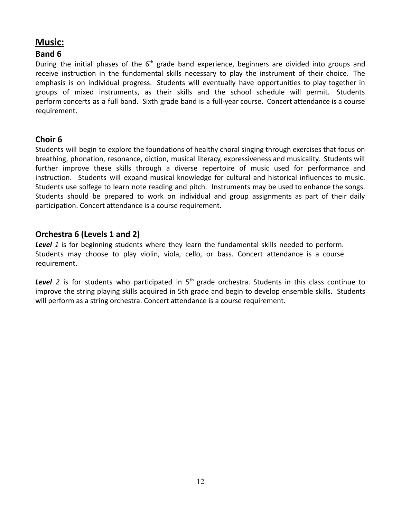## **Music:**

#### **Band 6**

During the initial phases of the  $6<sup>th</sup>$  grade band experience, beginners are divided into groups and receive instruction in the fundamental skills necessary to play the instrument of their choice. The emphasis is on individual progress. Students will eventually have opportunities to play together in groups of mixed instruments, as their skills and the school schedule will permit. Students perform concerts as a full band. Sixth grade band is a full-year course. Concert attendance is a course requirement.

#### **Choir 6**

Students will begin to explore the foundations of healthy choral singing through exercises that focus on breathing, phonation, resonance, diction, musical literacy, expressiveness and musicality. Students will further improve these skills through a diverse repertoire of music used for performance and instruction. Students will expand musical knowledge for cultural and historical influences to music. Students use solfege to learn note reading and pitch. Instruments may be used to enhance the songs. Students should be prepared to work on individual and group assignments as part of their daily participation. Concert attendance is a course requirement.

#### **Orchestra 6 (Levels 1 and 2)**

*Level 1* is for beginning students where they learn the fundamental skills needed to perform. Students may choose to play violin, viola, cello, or bass. Concert attendance is a course requirement.

Level 2 is for students who participated in 5<sup>th</sup> grade orchestra. Students in this class continue to improve the string playing skills acquired in 5th grade and begin to develop ensemble skills. Students will perform as a string orchestra. Concert attendance is a course requirement.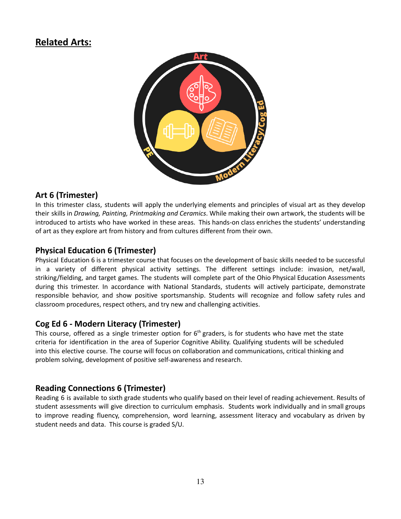## **Related Arts:**



#### **Art 6 (Trimester)**

In this trimester class, students will apply the underlying elements and principles of visual art as they develop their skills in *Drawing, Painting, Printmaking and Ceramics*. While making their own artwork, the students will be introduced to artists who have worked in these areas. This hands-on class enriches the students' understanding of art as they explore art from history and from cultures different from their own.

#### **Physical Education 6 (Trimester)**

Physical Education 6 is a trimester course that focuses on the development of basic skills needed to be successful in a variety of different physical activity settings. The different settings include: invasion, net/wall, striking/fielding, and target games. The students will complete part of the Ohio Physical Education Assessments during this trimester. In accordance with National Standards, students will actively participate, demonstrate responsible behavior, and show positive sportsmanship. Students will recognize and follow safety rules and classroom procedures, respect others, and try new and challenging activities.

#### **Cog Ed 6 - Modern Literacy (Trimester)**

This course, offered as a single trimester option for  $6<sup>th</sup>$  graders, is for students who have met the state criteria for identification in the area of Superior Cognitive Ability. Qualifying students will be scheduled into this elective course. The course will focus on collaboration and communications, critical thinking and problem solving, development of positive self-awareness and research.

#### **Reading Connections 6 (Trimester)**

Reading 6 is available to sixth grade students who qualify based on their level of reading achievement. Results of student assessments will give direction to curriculum emphasis. Students work individually and in small groups to improve reading fluency, comprehension, word learning, assessment literacy and vocabulary as driven by student needs and data. This course is graded S/U.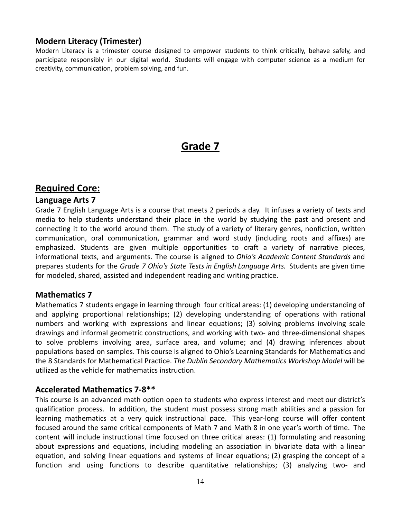#### **Modern Literacy (Trimester)**

Modern Literacy is a trimester course designed to empower students to think critically, behave safely, and participate responsibly in our digital world. Students will engage with computer science as a medium for creativity, communication, problem solving, and fun.

## **Grade 7**

#### **Required Core:**

#### **Language Arts 7**

Grade 7 English Language Arts is a course that meets 2 periods a day. It infuses a variety of texts and media to help students understand their place in the world by studying the past and present and connecting it to the world around them. The study of a variety of literary genres, nonfiction, written communication, oral communication, grammar and word study (including roots and affixes) are emphasized. Students are given multiple opportunities to craft a variety of narrative pieces, informational texts, and arguments. The course is aligned to *Ohio's Academic Content Standards* and prepares students for the *Grade 7 Ohio's State Tests in English Language Arts.* Students are given time for modeled, shared, assisted and independent reading and writing practice.

#### **Mathematics 7**

Mathematics 7 students engage in learning through four critical areas: (1) developing understanding of and applying proportional relationships; (2) developing understanding of operations with rational numbers and working with expressions and linear equations; (3) solving problems involving scale drawings and informal geometric constructions, and working with two- and three-dimensional shapes to solve problems involving area, surface area, and volume; and (4) drawing inferences about populations based on samples. This course is aligned to Ohio's Learning Standards for Mathematics and the 8 Standards for Mathematical Practice. *The Dublin Secondary Mathematics Workshop Model* will be utilized as the vehicle for mathematics instruction.

#### **Accelerated Mathematics 7-8\*\***

This course is an advanced math option open to students who express interest and meet our district's qualification process. In addition, the student must possess strong math abilities and a passion for learning mathematics at a very quick instructional pace. This year-long course will offer content focused around the same critical components of Math 7 and Math 8 in one year's worth of time. The content will include instructional time focused on three critical areas: (1) formulating and reasoning about expressions and equations, including modeling an association in bivariate data with a linear equation, and solving linear equations and systems of linear equations; (2) grasping the concept of a function and using functions to describe quantitative relationships; (3) analyzing two- and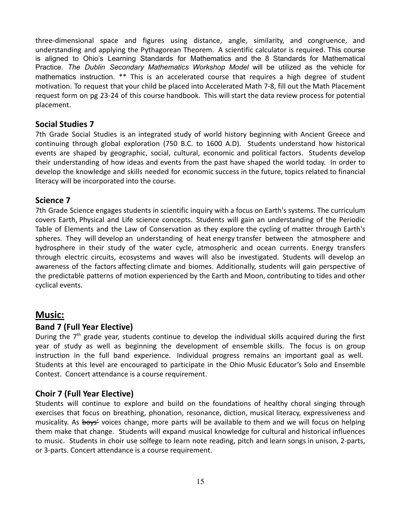three-dimensional space and figures using distance, angle, similarity, and congruence, and understanding and applying the Pythagorean Theorem. A scientific calculator is required. This course is aligned to Ohio's Learning Standards for Mathematics and the 8 Standards for Mathematical Practice. *The Dublin Secondary Mathematics Workshop Model* will be utilized as the vehicle for mathematics instruction. \*\* This is an accelerated course that requires a high degree of student motivation. To request that your child be placed into Accelerated Math 7-8, fill out the Math Placement request form on pg 23-24 of this course handbook. This will start the data review process for potential placement.

#### **Social Studies 7**

7th Grade Social Studies is an integrated study of world history beginning with Ancient Greece and continuing through global exploration (750 B.C. to 1600 A.D). Students understand how historical events are shaped by geographic, social, cultural, economic and political factors. Students develop their understanding of how ideas and events from the past have shaped the world today. In order to develop the knowledge and skills needed for economic success in the future, topics related to financial literacy will be incorporated into the course.

#### **Science 7**

7th Grade Science engages students in scientific inquiry with a focus on Earth's systems. The curriculum covers Earth, Physical and Life science concepts. Students will gain an understanding of the Periodic Table of Elements and the Law of Conservation as they explore the cycling of matter through Earth's spheres. They will develop an understanding of heat energy transfer between the atmosphere and hydrosphere in their study of the water cycle, atmospheric and ocean currents. Energy transfers through electric circuits, ecosystems and waves will also be investigated. Students will develop an awareness of the factors affecting climate and biomes. Additionally, students will gain perspective of the predictable patterns of motion experienced by the Earth and Moon, contributing to tides and other cyclical events.

#### **Music:**

#### **Band 7 (Full Year Elective)**

During the 7<sup>th</sup> grade year, students continue to develop the individual skills acquired during the first year of study as well as beginning the development of ensemble skills. The focus is on group instruction in the full band experience. Individual progress remains an important goal as well. Students at this level are encouraged to participate in the Ohio Music Educator's Solo and Ensemble Contest. Concert attendance is a course requirement.

#### **Choir 7 (Full Year Elective)**

Students will continue to explore and build on the foundations of healthy choral singing through exercises that focus on breathing, phonation, resonance, diction, musical literacy, expressiveness and musicality. As boys' voices change, more parts will be available to them and we will focus on helping them make that change. Students will expand musical knowledge for cultural and historical influences to music. Students in choir use solfege to learn note reading, pitch and learn songs in unison, 2-parts, or 3-parts. Concert attendance is a course requirement.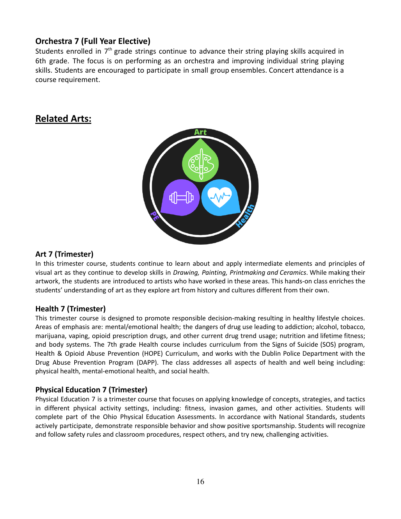#### **Orchestra 7 (Full Year Elective)**

Students enrolled in  $7<sup>th</sup>$  grade strings continue to advance their string playing skills acquired in 6th grade. The focus is on performing as an orchestra and improving individual string playing skills. Students are encouraged to participate in small group ensembles. Concert attendance is a course requirement.

## **Related Arts:**



#### **Art 7 (Trimester)**

In this trimester course, students continue to learn about and apply intermediate elements and principles of visual art as they continue to develop skills in *Drawing, Painting, Printmaking and Ceramics*. While making their artwork, the students are introduced to artists who have worked in these areas. This hands-on class enriches the students' understanding of art as they explore art from history and cultures different from their own.

#### **Health 7 (Trimester)**

This trimester course is designed to promote responsible decision-making resulting in healthy lifestyle choices. Areas of emphasis are: mental/emotional health; the dangers of drug use leading to addiction; alcohol, tobacco, marijuana, vaping, opioid prescription drugs, and other current drug trend usage; nutrition and lifetime fitness; and body systems. The 7th grade Health course includes curriculum from the Signs of Suicide (SOS) program, Health & Opioid Abuse Prevention (HOPE) Curriculum, and works with the Dublin Police Department with the Drug Abuse Prevention Program (DAPP). The class addresses all aspects of health and well being including: physical health, mental-emotional health, and social health.

#### **Physical Education 7 (Trimester)**

Physical Education 7 is a trimester course that focuses on applying knowledge of concepts, strategies, and tactics in different physical activity settings, including: fitness, invasion games, and other activities. Students will complete part of the Ohio Physical Education Assessments. In accordance with National Standards, students actively participate, demonstrate responsible behavior and show positive sportsmanship. Students will recognize and follow safety rules and classroom procedures, respect others, and try new, challenging activities.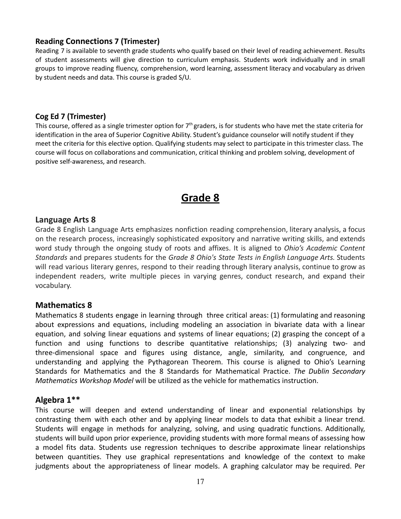#### **Reading Connections 7 (Trimester)**

Reading 7 is available to seventh grade students who qualify based on their level of reading achievement. Results of student assessments will give direction to curriculum emphasis. Students work individually and in small groups to improve reading fluency, comprehension, word learning, assessment literacy and vocabulary as driven by student needs and data. This course is graded S/U.

#### **Cog Ed 7 (Trimester)**

This course, offered as a single trimester option for  $7<sup>th</sup>$  graders, is for students who have met the state criteria for identification in the area of Superior Cognitive Ability. Student's guidance counselor will notify student if they meet the criteria for this elective option. Qualifying students may select to participate in this trimester class. The course will focus on collaborations and communication, critical thinking and problem solving, development of positive self-awareness, and research.

## **Grade 8**

#### **Language Arts 8**

Grade 8 English Language Arts emphasizes nonfiction reading comprehension, literary analysis, a focus on the research process, increasingly sophisticated expository and narrative writing skills, and extends word study through the ongoing study of roots and affixes. It is aligned to *Ohio's Academic Content Standards* and prepares students for the *Grade 8 Ohio's State Tests in English Language Arts.* Students will read various literary genres, respond to their reading through literary analysis, continue to grow as independent readers, write multiple pieces in varying genres, conduct research, and expand their vocabulary.

#### **Mathematics 8**

Mathematics 8 students engage in learning through three critical areas: (1) formulating and reasoning about expressions and equations, including modeling an association in bivariate data with a linear equation, and solving linear equations and systems of linear equations; (2) grasping the concept of a function and using functions to describe quantitative relationships; (3) analyzing two- and three-dimensional space and figures using distance, angle, similarity, and congruence, and understanding and applying the Pythagorean Theorem. This course is aligned to Ohio's Learning Standards for Mathematics and the 8 Standards for Mathematical Practice. *The Dublin Secondary Mathematics Workshop Model* will be utilized as the vehicle for mathematics instruction.

#### **Algebra 1\*\***

This course will deepen and extend understanding of linear and exponential relationships by contrasting them with each other and by applying linear models to data that exhibit a linear trend. Students will engage in methods for analyzing, solving, and using quadratic functions. Additionally, students will build upon prior experience, providing students with more formal means of assessing how a model fits data. Students use regression techniques to describe approximate linear relationships between quantities. They use graphical representations and knowledge of the context to make judgments about the appropriateness of linear models. A graphing calculator may be required. Per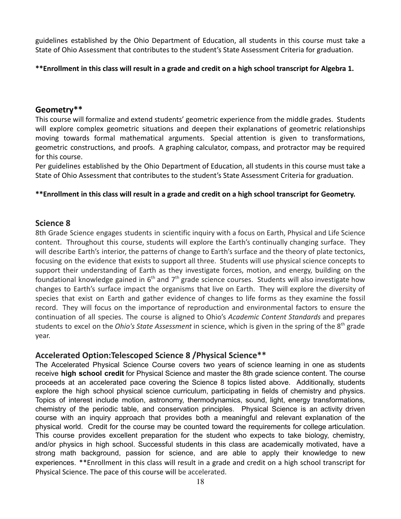guidelines established by the Ohio Department of Education, all students in this course must take a State of Ohio Assessment that contributes to the student's State Assessment Criteria for graduation.

#### **\*\*Enrollment in this class will result in a grade and credit on a high school transcript for Algebra 1.**

#### **Geometry\*\***

This course will formalize and extend students' geometric experience from the middle grades. Students will explore complex geometric situations and deepen their explanations of geometric relationships moving towards formal mathematical arguments. Special attention is given to transformations, geometric constructions, and proofs. A graphing calculator, compass, and protractor may be required for this course.

Per guidelines established by the Ohio Department of Education, all students in this course must take a State of Ohio Assessment that contributes to the student's State Assessment Criteria for graduation.

#### **\*\*Enrollment in this class will result in a grade and credit on a high school transcript for Geometry.**

#### **Science 8**

8th Grade Science engages students in scientific inquiry with a focus on Earth, Physical and Life Science content. Throughout this course, students will explore the Earth's continually changing surface. They will describe Earth's interior, the patterns of change to Earth's surface and the theory of plate tectonics, focusing on the evidence that exists to support all three. Students will use physical science concepts to support their understanding of Earth as they investigate forces, motion, and energy, building on the foundational knowledge gained in  $6<sup>th</sup>$  and  $7<sup>th</sup>$  grade science courses. Students will also investigate how changes to Earth's surface impact the organisms that live on Earth. They will explore the diversity of species that exist on Earth and gather evidence of changes to life forms as they examine the fossil record. They will focus on the importance of reproduction and environmental factors to ensure the continuation of all species. The course is aligned to Ohio's *Academic Content Standards* and prepares students to excel on the *Ohio's State Assessment* in science, which is given in the spring of the 8<sup>th</sup> grade year.

#### **Accelerated Option:Telescoped Science 8 /Physical Science\*\***

The Accelerated Physical Science Course covers two years of science learning in one as students receive **high school credit** for Physical Science and master the 8th grade science content. The course proceeds at an accelerated pace covering the Science 8 topics listed above. Additionally, students explore the high school physical science curriculum, participating in fields of chemistry and physics. Topics of interest include motion, astronomy, thermodynamics, sound, light, energy transformations, chemistry of the periodic table, and conservation principles. Physical Science is an activity driven course with an inquiry approach that provides both a meaningful and relevant explanation of the physical world. Credit for the course may be counted toward the requirements for college articulation. This course provides excellent preparation for the student who expects to take biology, chemistry, and/or physics in high school. Successful students in this class are academically motivated, have a strong math background, passion for science, and are able to apply their knowledge to new experiences. \*\*Enrollment in this class will result in a grade and credit on a high school transcript for Physical Science. The pace of this course will be accelerated.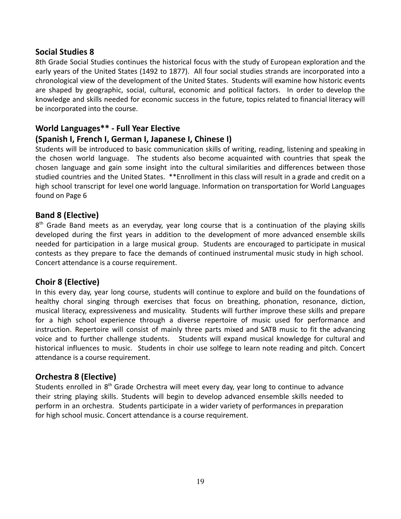#### **Social Studies 8**

8th Grade Social Studies continues the historical focus with the study of European exploration and the early years of the United States (1492 to 1877). All four social studies strands are incorporated into a chronological view of the development of the United States. Students will examine how historic events are shaped by geographic, social, cultural, economic and political factors. In order to develop the knowledge and skills needed for economic success in the future, topics related to financial literacy will be incorporated into the course.

#### **World Languages\*\* - Full Year Elective**

#### **(Spanish I, French I, German I, Japanese I, Chinese I)**

Students will be introduced to basic communication skills of writing, reading, listening and speaking in the chosen world language. The students also become acquainted with countries that speak the chosen language and gain some insight into the cultural similarities and differences between those studied countries and the United States. \*\*Enrollment in this class will result in a grade and credit on a high school transcript for level one world language. Information on transportation for World Languages found on Page 6

#### **Band 8 (Elective)**

8<sup>th</sup> Grade Band meets as an everyday, year long course that is a continuation of the playing skills developed during the first years in addition to the development of more advanced ensemble skills needed for participation in a large musical group. Students are encouraged to participate in musical contests as they prepare to face the demands of continued instrumental music study in high school. Concert attendance is a course requirement.

#### **Choir 8 (Elective)**

In this every day, year long course, students will continue to explore and build on the foundations of healthy choral singing through exercises that focus on breathing, phonation, resonance, diction, musical literacy, expressiveness and musicality. Students will further improve these skills and prepare for a high school experience through a diverse repertoire of music used for performance and instruction. Repertoire will consist of mainly three parts mixed and SATB music to fit the advancing voice and to further challenge students. Students will expand musical knowledge for cultural and historical influences to music. Students in choir use solfege to learn note reading and pitch. Concert attendance is a course requirement.

#### **Orchestra 8 (Elective)**

Students enrolled in 8<sup>th</sup> Grade Orchestra will meet every day, year long to continue to advance their string playing skills. Students will begin to develop advanced ensemble skills needed to perform in an orchestra. Students participate in a wider variety of performances in preparation for high school music. Concert attendance is a course requirement.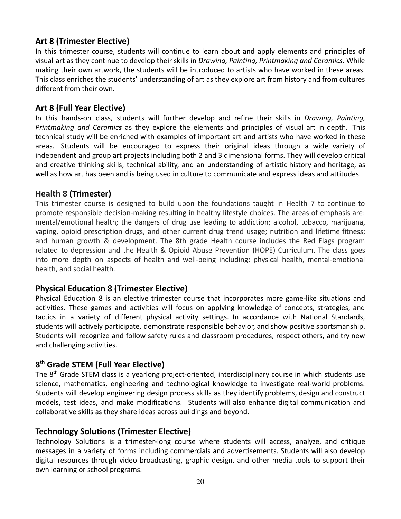#### **Art 8 (Trimester Elective)**

In this trimester course, students will continue to learn about and apply elements and principles of visual art as they continue to develop their skills in *Drawing, Painting, Printmaking and Ceramics*. While making their own artwork, the students will be introduced to artists who have worked in these areas. This class enriches the students' understanding of art as they explore art from history and from cultures different from their own.

#### **Art 8 (Full Year Elective)**

In this hands-on class, students will further develop and refine their skills in *Drawing, Painting, Printmaking and Ceramics* as they explore the elements and principles of visual art in depth. This technical study will be enriched with examples of important art and artists who have worked in these areas. Students will be encouraged to express their original ideas through a wide variety of independent and group art projects including both 2 and 3 dimensional forms. They will develop critical and creative thinking skills, technical ability, and an understanding of artistic history and heritage, as well as how art has been and is being used in culture to communicate and express ideas and attitudes.

#### **Health 8 (Trimester)**

This trimester course is designed to build upon the foundations taught in Health 7 to continue to promote responsible decision-making resulting in healthy lifestyle choices. The areas of emphasis are: mental/emotional health; the dangers of drug use leading to addiction; alcohol, tobacco, marijuana, vaping, opioid prescription drugs, and other current drug trend usage; nutrition and lifetime fitness; and human growth & development. The 8th grade Health course includes the Red Flags program related to depression and the Health & Opioid Abuse Prevention (HOPE) Curriculum. The class goes into more depth on aspects of health and well-being including: physical health, mental-emotional health, and social health.

#### **Physical Education 8 (Trimester Elective)**

Physical Education 8 is an elective trimester course that incorporates more game-like situations and activities. These games and activities will focus on applying knowledge of concepts, strategies, and tactics in a variety of different physical activity settings. In accordance with National Standards, students will actively participate, demonstrate responsible behavior, and show positive sportsmanship. Students will recognize and follow safety rules and classroom procedures, respect others, and try new and challenging activities.

### **8 th Grade STEM (Full Year Elective)**

The 8<sup>th</sup> Grade STEM class is a yearlong project-oriented, interdisciplinary course in which students use science, mathematics, engineering and technological knowledge to investigate real-world problems. Students will develop engineering design process skills as they identify problems, design and construct models, test ideas, and make modifications. Students will also enhance digital communication and collaborative skills as they share ideas across buildings and beyond.

#### **Technology Solutions (Trimester Elective)**

Technology Solutions is a trimester-long course where students will access, analyze, and critique messages in a variety of forms including commercials and advertisements. Students will also develop digital resources through video broadcasting, graphic design, and other media tools to support their own learning or school programs.